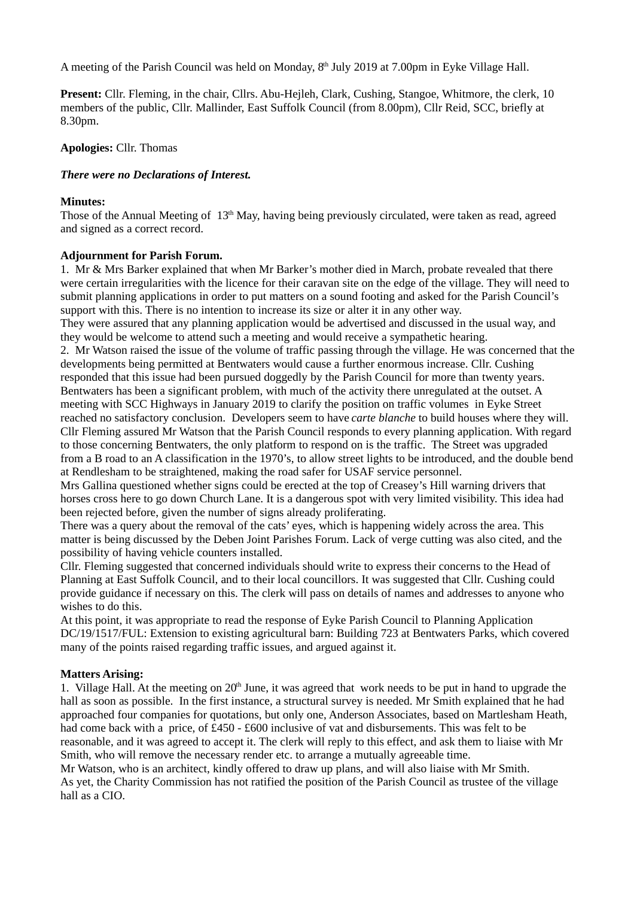A meeting of the Parish Council was held on Monday, 8<sup>th</sup> July 2019 at 7.00pm in Eyke Village Hall.

**Present:** Cllr. Fleming, in the chair, Cllrs. Abu-Hejleh, Clark, Cushing, Stangoe, Whitmore, the clerk, 10 members of the public, Cllr. Mallinder, East Suffolk Council (from 8.00pm), Cllr Reid, SCC, briefly at 8.30pm.

### **Apologies:** Cllr. Thomas

## *There were no Declarations of Interest.*

## **Minutes:**

Those of the Annual Meeting of 13<sup>th</sup> May, having being previously circulated, were taken as read, agreed and signed as a correct record.

## **Adjournment for Parish Forum.**

1. Mr & Mrs Barker explained that when Mr Barker's mother died in March, probate revealed that there were certain irregularities with the licence for their caravan site on the edge of the village. They will need to submit planning applications in order to put matters on a sound footing and asked for the Parish Council's support with this. There is no intention to increase its size or alter it in any other way.

They were assured that any planning application would be advertised and discussed in the usual way, and they would be welcome to attend such a meeting and would receive a sympathetic hearing.

2. Mr Watson raised the issue of the volume of traffic passing through the village. He was concerned that the developments being permitted at Bentwaters would cause a further enormous increase. Cllr. Cushing responded that this issue had been pursued doggedly by the Parish Council for more than twenty years. Bentwaters has been a significant problem, with much of the activity there unregulated at the outset. A meeting with SCC Highways in January 2019 to clarify the position on traffic volumes in Eyke Street reached no satisfactory conclusion. Developers seem to have *carte blanche* to build houses where they will. Cllr Fleming assured Mr Watson that the Parish Council responds to every planning application. With regard to those concerning Bentwaters, the only platform to respond on is the traffic. The Street was upgraded from a B road to an A classification in the 1970's, to allow street lights to be introduced, and the double bend at Rendlesham to be straightened, making the road safer for USAF service personnel.

Mrs Gallina questioned whether signs could be erected at the top of Creasey's Hill warning drivers that horses cross here to go down Church Lane. It is a dangerous spot with very limited visibility. This idea had been rejected before, given the number of signs already proliferating.

There was a query about the removal of the cats' eyes, which is happening widely across the area. This matter is being discussed by the Deben Joint Parishes Forum. Lack of verge cutting was also cited, and the possibility of having vehicle counters installed.

Cllr. Fleming suggested that concerned individuals should write to express their concerns to the Head of Planning at East Suffolk Council, and to their local councillors. It was suggested that Cllr. Cushing could provide guidance if necessary on this. The clerk will pass on details of names and addresses to anyone who wishes to do this.

At this point, it was appropriate to read the response of Eyke Parish Council to Planning Application DC/19/1517/FUL: Extension to existing agricultural barn: Building 723 at Bentwaters Parks, which covered many of the points raised regarding traffic issues, and argued against it.

# **Matters Arising:**

1. Village Hall. At the meeting on  $20<sup>th</sup>$  June, it was agreed that work needs to be put in hand to upgrade the hall as soon as possible. In the first instance, a structural survey is needed. Mr Smith explained that he had approached four companies for quotations, but only one, Anderson Associates, based on Martlesham Heath, had come back with a price, of £450 - £600 inclusive of vat and disbursements. This was felt to be reasonable, and it was agreed to accept it. The clerk will reply to this effect, and ask them to liaise with Mr Smith, who will remove the necessary render etc. to arrange a mutually agreeable time.

Mr Watson, who is an architect, kindly offered to draw up plans, and will also liaise with Mr Smith. As yet, the Charity Commission has not ratified the position of the Parish Council as trustee of the village hall as a CIO.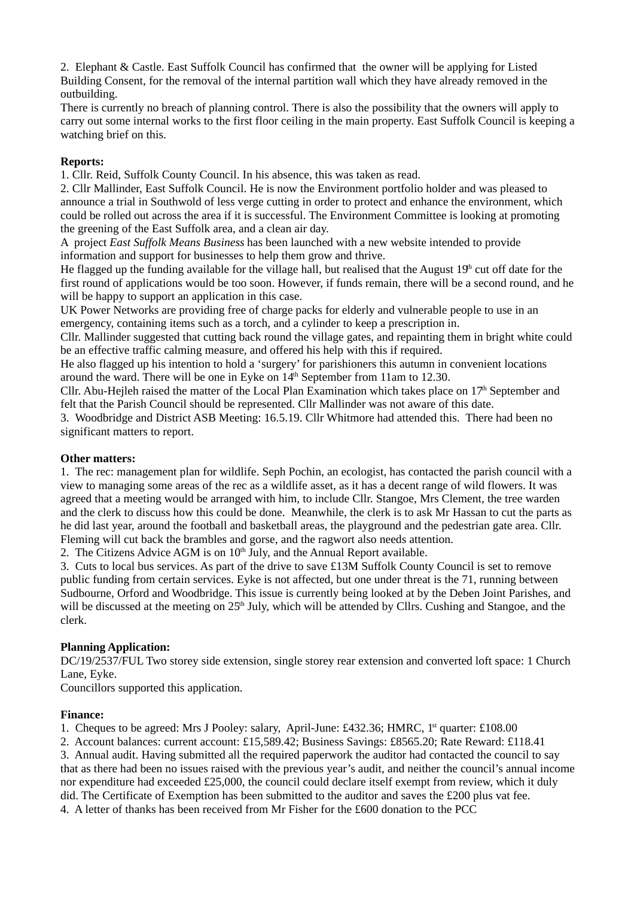2. Elephant & Castle. East Suffolk Council has confirmed that the owner will be applying for Listed Building Consent, for the removal of the internal partition wall which they have already removed in the outbuilding.

There is currently no breach of planning control. There is also the possibility that the owners will apply to carry out some internal works to the first floor ceiling in the main property. East Suffolk Council is keeping a watching brief on this.

# **Reports:**

1. Cllr. Reid, Suffolk County Council. In his absence, this was taken as read.

2. Cllr Mallinder, East Suffolk Council. He is now the Environment portfolio holder and was pleased to announce a trial in Southwold of less verge cutting in order to protect and enhance the environment, which could be rolled out across the area if it is successful. The Environment Committee is looking at promoting the greening of the East Suffolk area, and a clean air day.

A project *East Suffolk Means Business* has been launched with a new website intended to provide information and support for businesses to help them grow and thrive.

He flagged up the funding available for the village hall, but realised that the August  $19<sup>h</sup>$  cut off date for the first round of applications would be too soon. However, if funds remain, there will be a second round, and he will be happy to support an application in this case.

UK Power Networks are providing free of charge packs for elderly and vulnerable people to use in an emergency, containing items such as a torch, and a cylinder to keep a prescription in.

Cllr. Mallinder suggested that cutting back round the village gates, and repainting them in bright white could be an effective traffic calming measure, and offered his help with this if required.

He also flagged up his intention to hold a 'surgery' for parishioners this autumn in convenient locations around the ward. There will be one in Eyke on  $14<sup>th</sup>$  September from 11am to 12.30.

Cllr. Abu-Hejleh raised the matter of the Local Plan Examination which takes place on  $17<sup>th</sup>$  September and felt that the Parish Council should be represented. Cllr Mallinder was not aware of this date.

3. Woodbridge and District ASB Meeting: 16.5.19. Cllr Whitmore had attended this. There had been no significant matters to report.

#### **Other matters:**

1. The rec: management plan for wildlife. Seph Pochin, an ecologist, has contacted the parish council with a view to managing some areas of the rec as a wildlife asset, as it has a decent range of wild flowers. It was agreed that a meeting would be arranged with him, to include Cllr. Stangoe, Mrs Clement, the tree warden and the clerk to discuss how this could be done. Meanwhile, the clerk is to ask Mr Hassan to cut the parts as he did last year, around the football and basketball areas, the playground and the pedestrian gate area. Cllr. Fleming will cut back the brambles and gorse, and the ragwort also needs attention.

2. The Citizens Advice AGM is on  $10<sup>th</sup>$  July, and the Annual Report available.

3. Cuts to local bus services. As part of the drive to save £13M Suffolk County Council is set to remove public funding from certain services. Eyke is not affected, but one under threat is the 71, running between Sudbourne, Orford and Woodbridge. This issue is currently being looked at by the Deben Joint Parishes, and will be discussed at the meeting on 25<sup>th</sup> July, which will be attended by Cllrs. Cushing and Stangoe, and the clerk.

# **Planning Application:**

DC/19/2537/FUL Two storey side extension, single storey rear extension and converted loft space: 1 Church Lane, Eyke.

Councillors supported this application.

#### **Finance:**

1. Cheques to be agreed: Mrs J Pooley: salary, April-June: £432.36; HMRC,  $1<sup>st</sup>$  quarter: £108.00

2. Account balances: current account: £15,589.42; Business Savings: £8565.20; Rate Reward: £118.41

3. Annual audit. Having submitted all the required paperwork the auditor had contacted the council to say that as there had been no issues raised with the previous year's audit, and neither the council's annual income nor expenditure had exceeded £25,000, the council could declare itself exempt from review, which it duly did. The Certificate of Exemption has been submitted to the auditor and saves the £200 plus vat fee. 4. A letter of thanks has been received from Mr Fisher for the £600 donation to the PCC